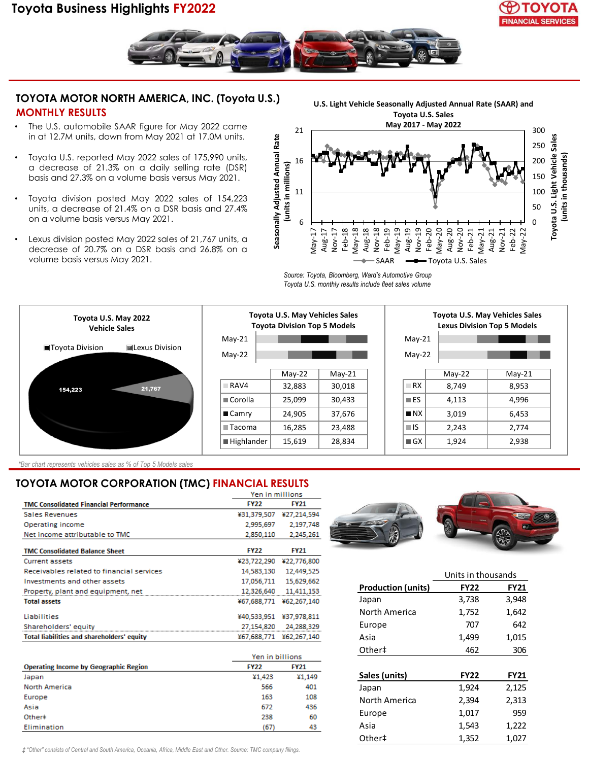# **Toyota Business Highlights FY2022**





### **TOYOTA MOTOR NORTH AMERICA, INC. (Toyota U.S.) MONTHLY RESULTS**

- The U.S. automobile SAAR figure for May 2022 came in at 12.7M units, down from May 2021 at 17.0M units.
- Toyota U.S. reported May 2022 sales of 175,990 units, a decrease of 21.3% on a daily selling rate (DSR) basis and 27.3% on a volume basis versus May 2021.
- Toyota division posted May 2022 sales of 154,223 units, a decrease of 21.4% on a DSR basis and 27.4% on a volume basis versus May 2021.
- Lexus division posted May 2022 sales of 21,767 units, a decrease of 20.7% on a DSR basis and 26.8% on a volume basis versus May 2021.



*Source: Toyota, Bloomberg, Ward's Automotive Group Toyota U.S. monthly results include fleet sales volume*





| <b>Toyota U.S. May Vehicles Sales</b><br><b>Lexus Division Top 5 Models</b> |          |          |  |  |  |
|-----------------------------------------------------------------------------|----------|----------|--|--|--|
| $May-21$                                                                    |          |          |  |  |  |
| $May-22$                                                                    |          |          |  |  |  |
|                                                                             | $May-22$ | $Mav-21$ |  |  |  |
| RX                                                                          | 8.749    | 8,953    |  |  |  |
| $\blacksquare$ ES                                                           | 4,113    | 4,996    |  |  |  |
| $\blacksquare$ NX                                                           | 3,019    | 6,453    |  |  |  |
| ∎IS                                                                         | 2,243    | 2,774    |  |  |  |
| $\blacksquare$ GX                                                           | 1,924    | 2,938    |  |  |  |

*\*Bar chart represents vehicles sales as % of Top 5 Models sales*

### **TOYOTA MOTOR CORPORATION (TMC) FINANCIAL RESULTS**

|                                               | Yen in millions |             |
|-----------------------------------------------|-----------------|-------------|
| <b>TMC Consolidated Financial Performance</b> | <b>FY22</b>     | <b>FY21</b> |
| Sales Revenues                                | ¥31,379,507     | ¥27,214,594 |
| Operating income                              | 2,995,697       | 2,197,748   |
| Net income attributable to TMC                | 2,850,110       | 2,245,261   |
| <b>TMC Consolidated Balance Sheet</b>         | <b>FY22</b>     | <b>FY21</b> |
| Current assets                                | ¥23,722,290     | ¥22,776,800 |
| Receivables related to financial services     | 14,583,130      | 12,449.525  |
| Investments and other assets                  | 17,056,711      | 15,629,662  |
| Property, plant and equipment, net            | 12,326,640      | 11,411,153  |
| <b>Total assets</b>                           | ¥67,688,771     | ¥62,267,140 |
| Liabilities                                   | ¥40,533,951     | ¥37.978.811 |
| Shareholders' equity                          | 27,154,820      | 24,288,329  |
| Total liabilities and shareholders' equity    | ¥67,688,771     | ¥62,267,140 |
|                                               |                 |             |

|                                              | Yen in billions |             |
|----------------------------------------------|-----------------|-------------|
| <b>Operating Income by Geographic Region</b> | <b>FY22</b>     | <b>FY21</b> |
| Japan                                        | ¥1,423          | ¥1,149      |
| <b>North America</b>                         | 566             | 401         |
| Europe                                       | 163             | 108         |
| Asia                                         | 672             | 436         |
| Other#                                       | 238             | 60          |
| Elimination                                  | (67)            | 43          |



|                           | Units in thousands |             |
|---------------------------|--------------------|-------------|
| <b>Production (units)</b> | <b>FY22</b>        | <b>FY21</b> |
| Japan                     | 3,738              | 3,948       |
| North America             | 1,752              | 1,642       |
| Europe                    | 707                | 642         |
| Asia                      | 1,499              | 1,015       |
| Other‡                    | 462                | 306         |
|                           |                    |             |
| Sales (units)             | <b>FY22</b>        | <b>FY21</b> |
| Japan                     | 1,924              | 2,125       |
| North America             | 2,394              | 2,313       |
| Europe                    | 1,017              | 959         |
| Asia                      | 1,543              | 1,222       |
| Other‡                    | 1,352              | 1,027       |

*‡ "Other" consists of Central and South America, Oceania, Africa, Middle East and Other. Source: TMC company filings.*